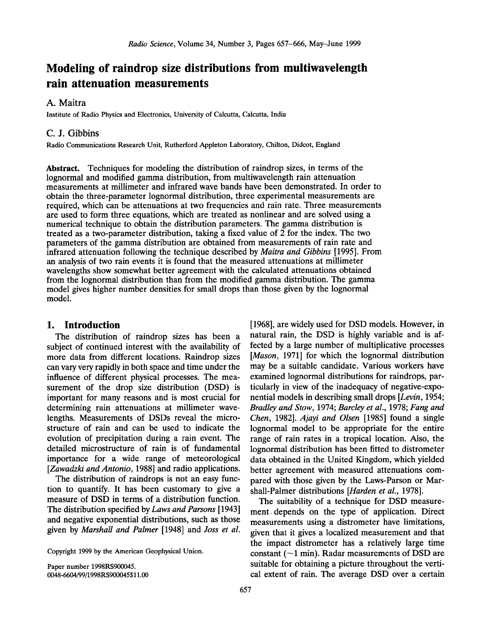# **Modeling of raindrop size distributions from multiwavelength rain attenuation measurements**

# **A. Maitra**

**Institute of Radio Physics and Electronics, University of Calcutta, Calcutta, India** 

## **C. J. Gibbins**

**Radio Communications Research Unit, Rutherford Appleton Laboratory, Chilton, Didcot, England** 

**Abstract. Techniques for modeling the distribution of raindrop sizes, in terms of the lognormal and modified gamma distribution, from multiwavelength rain attenuation measurements at millimeter and infrared wave bands have been demonstrated. In order to obtain the three-parameter lognormal distribution, three experimental measurements are required, which can be attenuations at two frequencies and rain rate. Three measurements are used to form three equations, which are treated as nonlinear and are solved using a numerical technique to obtain the distribution parameters. The gamma distribution is treated as a two-parameter distribution, taking a fixed value of 2 for the index. The two parameters of the gamma distribution are obtained from measurements of rain rate and infrared attenuation following the technique described by Maitra and Gibbins [1995]. From an analysis of two rain events it is found that the measured attenuations at millimeter wavelengths show somewhat better agreement with the calculated attenuations obtained from the lognormal distribution than from the modified gamma distribution. The gamma model gives higher number densities for small drops than those given by the lognormal model.** 

# **1. Introduction**

**The distribution of raindrop sizes has been a subject of continued interest with the availability of more data from different locations. Raindrop sizes can vary very rapidly in both space and time under the influence of different physical processes. The measurement of the drop size distribution (DSD) is important for many reasons and is most crucial for determining rain attenuations at millimeter wavelengths. Measurements of DSDs reveal the microstructure of rain and can be used to indicate the evolution of precipitation during a rain event. The detailed microstructure of rain is of fundamental importance for a wide range of meteorological [Zawadzki and Antonio, 1988] and radio applications.** 

**The distribution of raindrops is not an easy function to quantify. It has been customary to give a measure of DSD in terms of a distribution function. The distribution specified by Laws and Parsons [1943] and negative exponential distributions, such as those given by Marshall and Palmer [1948] and Joss et al.** 

**Copyright 1999 by the American Geophysical Union.** 

**Paper number 1998RS900045. 0048-6604/99/1998RS900045 \$11.00** 

**[1968], are widely used for DSD models. However, in natural rain, the DSD is highly variable and is affected by a large number of multiplicative processes [Mason, 1971] for which the lognormal distribution may be a suitable candidate. Various workers have examined lognormal distributions for raindrops, particularly in view of the inadequacy of negative-exponential models in describing small drops [Levin, 1954; Bradley and Stow, 1974; Barcley et al., 1978; Fang and Chen, 1982]. Ajayi and Olsen [1985] found a single lognormal model to be appropriate for the entire range of rain rates in a tropical location. Also, the lognormal distribution has been fitted to distrometer data obtained in the United Kingdom, which yielded better agreement with measured attenuations compared with those given by the Laws-Parson or Marshall-Palmer distributions [Harden et al., 1978].** 

**The suitability of a technique for DSD measurement,depends on the type of application. Direct measurements using a distrometer have limitations, given that it gives a localized measurement and that the impact distrometer has a relatively large time**  constant  $(-1 \text{ min})$ . Radar measurements of DSD are **suitable for obtaining a picture throughout the vertical extent of rain. The average DSD over a certain**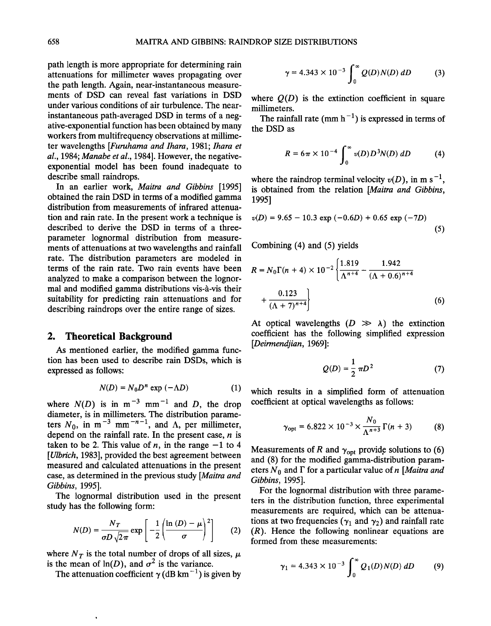**path length is more appropriate for determining rain attenuations for millimeter waves propagating over the path length. Again, near-instantaneous measurements of DSD can reveal fast variations in DSD under various conditions of air turbulence. The nearinstantaneous path-averaged DSD in terms of a negative-exponential function has been obtained by many workers from multifrequency observations at millimeter wavelengths [Fumhama and Ihara, 1981; Ihara et al., 1984; Manabe et al., 1984]. However, the negativeexponential model has been found inadequate to describe small raindrops.** 

**In an earlier work, Maitra and Gibbins [1995] obtained the rain DSD in terms of a modified gamma distribution from measurements of infrared attenuation and rain rate. In the present work a technique is described to derive the DSD in terms of a threeparameter lognormal distribution from measurements of attenuations at two wavelengths and rainfall rate. The distribution parameters are modeled in terms of the rain rate. Two rain events have been analyzed to make a comparison between the lognor**mal and modified gamma distributions vis-à-vis their **suitability for predicting rain attenuations and for describing raindrops over the entire range of sizes.** 

# **2. Theoretical Background**

**As mentioned earlier, the modified gamma function has been used to describe rain DSDs, which is expressed as follows:** 

$$
N(D) = N_0 D^n \exp(-\Lambda D) \tag{1}
$$

where  $N(D)$  is in m<sup>-3</sup> mm<sup>-1</sup> and D, the drop **diameter, is in millimeters. The distribution parame**ters  $N_0$ , in m<sup>-3</sup> mm<sup>-n-1</sup>, and  $\Lambda$ , per millimeter, **depend on the rainfall rate. In the present case, n is**  taken to be 2. This value of  $n$ , in the range  $-1$  to 4 **[Ulbrich, 1983], provided the best agreement between measured and calculated attenuations in the present case, as determined in the previous study [Maitra and Gibbins, 1995].** 

**The lognormal distribution used in the present study has the following form:** 

$$
N(D) = \frac{N_T}{\sigma D \sqrt{2\pi}} \exp\left[-\frac{1}{2} \left(\frac{\ln(D) - \mu}{\sigma}\right)^2\right]
$$
 (2) (R). Henformed fr

where  $N_T$  is the total number of drops of all sizes,  $\mu$ is the mean of  $ln(D)$ , and  $\sigma^2$  is the variance.

The attenuation coefficient  $\gamma$  (dB km<sup>-1</sup>) is given by

$$
\gamma = 4.343 \times 10^{-3} \int_0^\infty Q(D) N(D) \, dD \tag{3}
$$

where  $Q(D)$  is the extinction coefficient in square **millimeters.** 

The rainfall rate (mm  $h^{-1}$ ) is expressed in terms of **the DSD as** 

$$
R = 6\pi \times 10^{-4} \int_0^\infty v(D) D^3 N(D) \, dD \tag{4}
$$

where the raindrop terminal velocity  $v(D)$ , in m s<sup>-1</sup>, **is obtained from the relation [Maitra and Gibbins, 1995]** 

$$
v(D) = 9.65 - 10.3 \exp(-0.6D) + 0.65 \exp(-7D)
$$
\n(5)

**Combining (4) and (5) yields** 

$$
R = N_0 \Gamma(n + 4) \times 10^{-2} \left\{ \frac{1.819}{\Lambda^{n+4}} - \frac{1.942}{(\Lambda + 0.6)^{n+4}} + \frac{0.123}{(\Lambda + 7)^{n+4}} \right\}
$$
(6)

At optical wavelengths  $(D \gg \lambda)$  the extinction **coefficient has the following simplified expression [Deirmendjian, 1969]:** 

$$
Q(D) = \frac{1}{2} \pi D^2 \tag{7}
$$

**which results in a simplified form of attenuation coefficient at optical wavelengths as follows:** 

$$
\gamma_{\rm opt} = 6.822 \times 10^{-3} \times \frac{N_0}{\Lambda^{n+3}} \Gamma(n+3) \tag{8}
$$

Measurements of R and  $\gamma_{opt}$  provide solutions to (6) **and (8) for the modified gamma-distribution param**eters  $N_0$  and  $\Gamma$  for a particular value of n [*Maitra and* **Gibbins, 1995].** 

**For the lognormal distribution with three parameters in the distribution function, three experimental measurements are required, which can be attenua**tions at two frequencies ( $\gamma_1$  and  $\gamma_2$ ) and rainfall rate **(R). Hence the following nonlinear equations are formed from these measurements:** 

$$
\gamma_1 = 4.343 \times 10^{-3} \int_0^\infty Q_1(D) N(D) \, dD \tag{9}
$$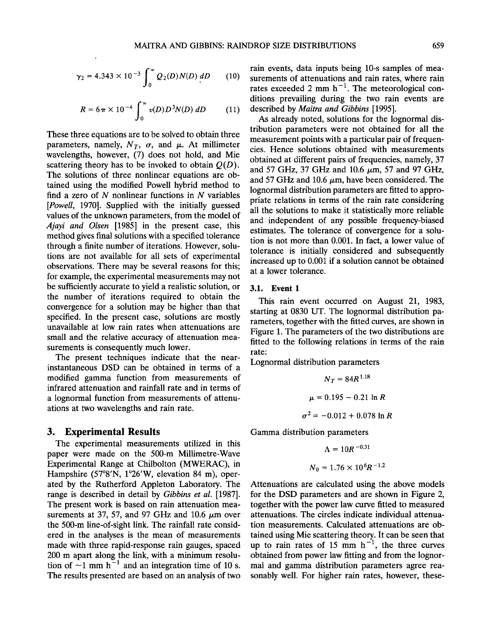$$
\gamma_2 = 4.343 \times 10^{-3} \int_0^\infty Q_2(D) N(D) \, dD \qquad (10) \quad \text{sur} \quad \text{rati} \quad \text{rati}
$$

$$
R = 6\pi \times 10^{-4} \int_0^\infty v(D) D^3 N(D) \, dD \qquad (11) \quad \text{d}C
$$

**These three equations are to be solved to obtain three**  parameters, namely,  $N_T$ ,  $\sigma$ , and  $\mu$ . At millimeter **wavelengths, however, (7) does not hold, and Mie**  scattering theory has to be invoked to obtain  $Q(D)$ . **The solutions of three nonlinear equations are obtained using the modified Powell hybrid method to find a zero of N nonlinear functions in N variables [Powell, 1970]. Supplied with the initially guessed values of the unknown parameters, from the model of Ajayi and Olsen [1985] in the present case, this method gives final solutions with a specified tolerance through a finite number of iterations. However, solutions are not available for all sets of experimental observations. There may be several reasons for this; for example, the experimental measurements may not be sufficiently accurate to yield a realistic solution, or the number of iterations required to obtain the convergence for a solution may be higher than that specified. In the present case, solutions are mostly unavailable at low rain rates when attenuations are small and the relative accuracy of attenuation measurements is consequently much lower.** 

**The present techniques indicate that the nearinstantaneous DSD can be obtained in terms of a modified gamma function from measurements of infrared attenuation and rainfall rate and in terms of a lognormal function from measurements of attenuations at two wavelengths and rain rate.** 

# **3. Experimental Results**

**The experimental measurements utilized in this paper were made on the 500-m Millimetre-Wave Experimental Range at Chilbolton (MWERAC), in**  Hampshire (57°8'N, 1°26'W, elevation 84 m), oper**ated by the Rutherford Appleton Laboratory. The range is described in detail by Gibbins et al. [1987]. The present work is based on rain attenuation mea**surements at 37, 57, and 97 GHz and  $10.6 \mu m$  over **the 500-m line-of-sight link. The rainfall rate considered in the analyses is the mean of measurements made with three rapid-response rain gauges, spaced 200 m apart along the link, with a minimum resolu**tion of  $\sim$ 1 mm h<sup> $-1$ </sup> and an integration time of 10 s. **The results presented are based on an analysis of two** 

**rain events, data inputs being 10-s samples of measurements of attenuations and rain rates, where rain**  rates exceeded 2 mm  $h^{-1}$ . The meteorological con**ditions prevailing during the two rain events are described by Maitra and Gibbins [1995].** 

**As already noted, solutions for the lognormal distribution parameters were not obtained for all the measurement points with a particular pair of frequencies. Hence solutions obtained with measurements obtained at different pairs of frequencies, namely, 37**  and 57 GHz, 37 GHz and 10.6  $\mu$ m, 57 and 97 GHz, and 57 GHz and 10.6  $\mu$ m, have been considered. The **lognormal distribution parameters are fitted to appropriate relations in terms of the rain rate considering all the solutions to make it statistically more reliable and independent of any possible frequency-biased estimates. The tolerance of convergence for a solution is not more than 0.001. In fact, a lower value of tolerance is initially considered and subsequently increased up to 0.001 if a solution cannot be obtained at a lower tolerance.** 

#### **3.1. Event 1**

**This rain event occurred on August 21, 1983, starting at 0830 UT. The lognormal distribution parameters, together with the fitted curves, are shown in Figure 1. The parameters of the two distributions are fitted to the following relations in terms of the rain rate:** 

**Lognormal distribution parameters** 

 $N_T = 84R^{1.18}$  $\mu = 0.195 - 0.21 \ln R$  $\sigma^2 = -0.012 + 0.078$  ln R

**Gamma distribution parameters** 

$$
\Lambda = 10R^{-0.31}
$$
  

$$
N_0 = 1.76 \times 10^6 R^{-1.2}
$$

**Attenuations are calculated using the above models for the DSD parameters and are shown in Figure 2, together with the power law curve fitted to measured attenuations. The circles indicate individual attenuation measurements. Calculated attenuations are obtained using Mie scattering theory. It can be seen that**  up to rain rates of 15 mm  $h^{-1}$ , the three curves **obtained from power law fitting and from the lognormal and gamma distribution parameters agree reasonably well. For higher rain rates, however, these-**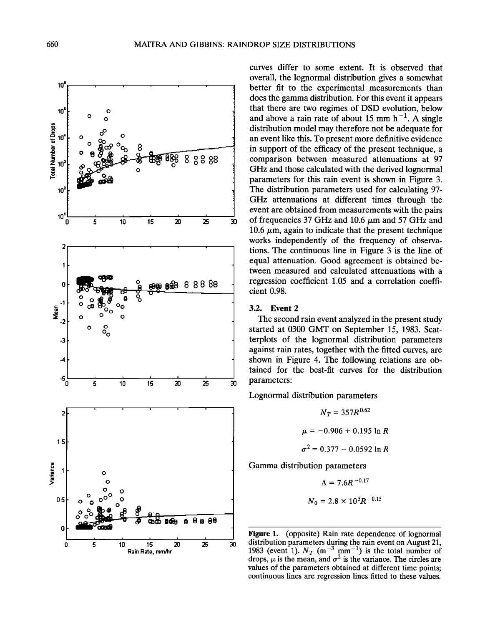

**curves differ to some extent. It is observed that overall, the lognormal distribution gives a somewhat better fit to the experimental measurements than does the gamma distribution. For this event it appears that there are two regimes of DSD evolution, below**  and above a rain rate of about 15 mm  $h^{-1}$ . A single **distribution model may therefore not be adequate for an event like this. To present more definitive evidence in support of the efficacy of the present technique, a comparison between measured attenuations at 97 GHz and those calculated with the derived lognormal parameters for this rain event is shown in Figure 3. The distribution parameters used for calculating 97- GHz attenuations at different times through the event are obtained from measurements with the pairs**  of frequencies 37 GHz and  $10.6 \mu m$  and  $57$  GHz and 10.6  $\mu$ m, again to indicate that the present technique **works independently of the frequency of observations. The continuous line in Figure 3 is the line of equal attenuation. Good agreement is obtained between measured and calculated attenuations with a regression coefficient 1.05 and a correlation coefficient 0.98.** 

## **3.2. Event 2**

**The second rain event analyzed in the present study started at 0300 GMT on September 15, 1983. Scatterplots of the lognormal distribution parameters against rain rates, together with the fitted curves, are shown in Figure 4. The following relations are obtained for the best-fit curves for the distribution parameters:** 

**Lognormal distribution parameters** 

$$
N_T = 357R^{0.62}
$$

$$
\mu = -0.906 + 0.195 \ln R
$$

$$
\sigma^2 = 0.377 - 0.0592 \ln R
$$
Gamma distribution parameters

$$
\Lambda = 7.6R^{-0.17}
$$
  

$$
N_0 = 2.8 \times 10^5 R^{-0.15}
$$

**Figure 1.** (opposite) Rain rate dependence of lognormal distribution parameters during the rain event on August 21, **distribution parameters during the rain event on August 21, 1983 (event 1).**  $N_T$  (m<sup>-3</sup> mm<sup>-1</sup>) is the total number of drops,  $\mu$  is the mean, and  $\sigma^2$  is the variance. The circles are **values of the parameters obtained at different time points; continuous lines are regression lines fitted to these values.**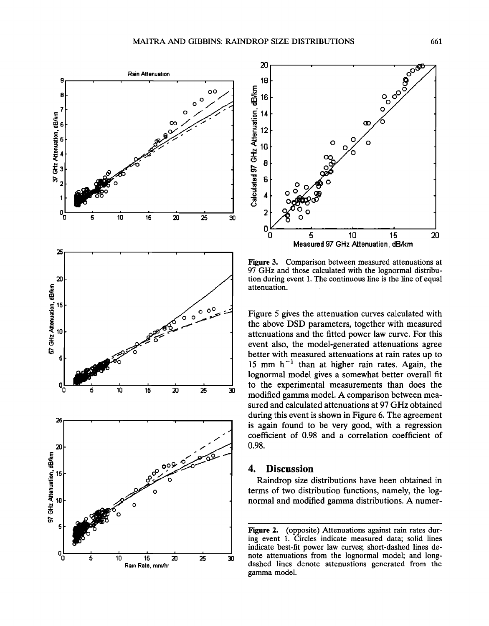



**Figure 3. Comparison between measured attenuations at 97 GHz and those calculated with the lognormal distribution during event 1. The continuous line is the line of equal**  attenuation.

**Figure 5 gives the attenuation curves calculated with the above DSD parameters, together with measured attenuations and the fitted power law curve. For this event also, the model-generated attenuations agree better with measured attenuations at rain rates up to**  15 mm  $h^{-1}$  than at higher rain rates. Again, the **lognormal model gives a somewhat better overall fit to the experimental measurements than does the modified gamma model. A comparison between measured and calculated attenuations at 97 GHz obtained during this event is shown in Figure 6. The agreement is again found to be very good, with a regression coefficient of 0.98 and a correlation coefficient of 0.98.** 

# **4. Discussion**

**Raindrop size distributions have been obtained in terms of two distribution functions, namely, the lognormal and modified gamma distributions. A numer-**

**Figure 2. (opposite) Attenuations against rain rates during event 1. Circles indicate measured data; solid lines indicate best-fit power law curves; short-dashed lines denote attenuations from the lognormal model; and longdashed lines denote attenuations generated from the gamma model.**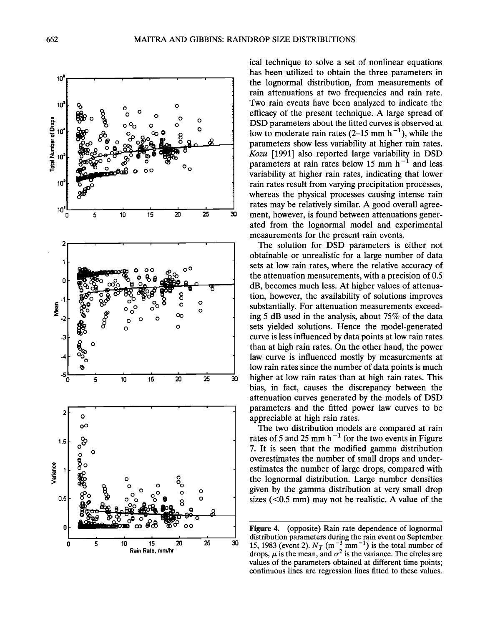

**ical technique to solve a set of nonlinear equations has been utilized to obtain the three parameters in the lognormal distribution, from measurements of rain attenuations at two frequencies and rain rate. Two rain events have been analyzed to indicate the efficacy of the present technique. A large spread of DSD parameters about the fitted curves is observed at**  low to moderate rain rates  $(2-15 \text{ mm h}^{-1})$ , while the **parameters show less variability at higher rain rates. Kozu [1991] also reported large variability in DSD**  parameters at rain rates below 15 mm h<sup>-1</sup> and less **variability at higher rain rates, indicating that lower rain rates result from varying precipitation processes, whereas the physical processes causing intense rain rates may be relatively similar. A good overall agreement, however, is found between attenuations generated from the lognormal model and experimental measurements for the present rain events.** 

**The solution for DSD parameters is either not obtainable or unrealistic for a large number of data sets at low rain rates, where the relative accuracy of the attenuation measurements, with a precision of 0.5 dB, becomes much less. At higher values of attenuation, however, the availability of solutions improves substantially. For attenuation measurements exceeding 5 dB used in the analysis, about 75% of the data sets yielded solutions. Hence the model-generated curve is less influenced by data points at low rain rates than at high rain rates. On the other hand, the power law curve is influenced mostly by measurements at low rain rates since the number of data points is much higher at low rain rates than at high rain rates. This bias, in fact, causes the discrepancy between the attenuation curves generated by the models of DSD parameters and the fitted power law curves to be appreciable at high rain rates.** 

**The two distribution models are compared at rain**  rates of 5 and 25 mm  $h^{-1}$  for the two events in Figure **7. It is seen that the modified gamma distribution overestimates the number of small drops and underestimates the number of large drops, compared with the lognormal distribution. Large number densities given by the gamma distribution at very small drop sizes (<0.5 mm) may not be realistic. A value of the** 

**Figure 4. (opposite) Rain rate dependence of lognormal distribution parameters during the rain event on September**  15, 1983 (event 2).  $N_T$  (m<sup>-3</sup> mm<sup>-1</sup>) is the total number of drops,  $\mu$  is the mean, and  $\sigma^2$  is the variance. The circles are **values of the parameters obtained at different time points; continuous lines are regression lines fitted to these values.**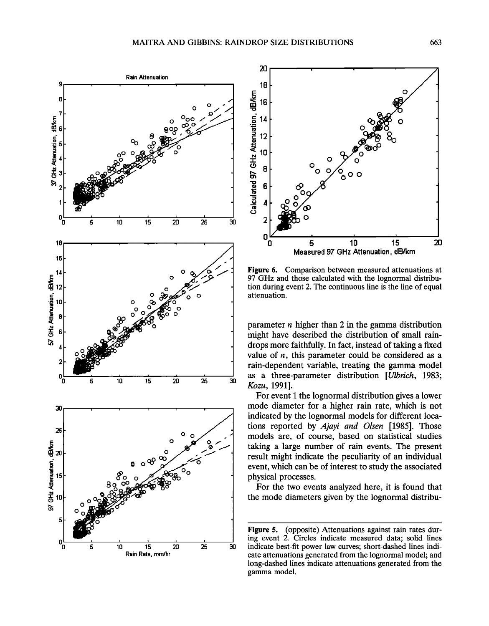



**Figure 6. Comparison between measured attenuations at 97 GHz and those calculated with the lognormal distribution during event 2. The continuous line is the line of equal attenuation.** 

**parameter n higher than 2 in the gamma distribution might have described the distribution of small raindrops more faithfully. In fact, instead of taking a fixed value of n, this parameter could be considered as a rain-dependent variable, treating the gamma model as a three-parameter distribution [Ulbrich, 1983; Kozu, 1991].** 

**For event 1 the lognormal distribution gives a lower mode diameter for a higher rain rate, which is not indicated by the lognormal models for different locations reported by Ajayi and Olsen [1985]. Those models are, of course, based on statistical studies taking a large number of rain events. The present result might indicate the peculiarity of an individual event, which can be of interest to study the associated physical processes.** 

**For the two events analyzed here, it is found that the mode diameters given by the lognormal distribu-**

**Figure 5. (opposite) Attenuations against rain rates during event 2. Circles indicate measured data; solid lines indicate best-fit power law curves; short-dashed lines indicate attenuations generated from the lognormal model; and long-dashed lines indicate attenuations generated from the gamma model.**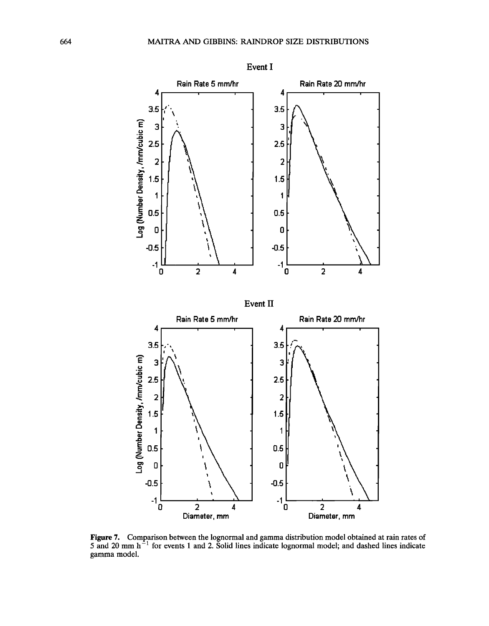

**Figure 7. Comparison between the lognormal and gamma distribution model obtained at rain rates of**  5 and 20 mm h<sup>-1</sup> for events 1 and 2. Solid lines indicate lognormal model; and dashed lines indicate **gamma model.**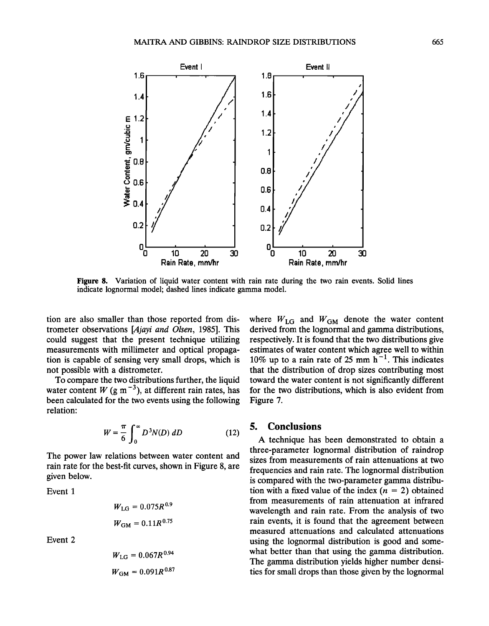

**Figure 8. Variation of liquid water content with rain rate during the two rain events. Solid lines indicate lognormal model; dashed lines indicate gamma model.** 

**tion are also smaller than those reported from distrometer observations [Ajayi and Olsen, 1985]. This could suggest that the present technique utilizing measurements with millimeter and optical propagation is capable of sensing very small drops, which is not possible with a distrometer.** 

**To compare the two distributions further, the liquid**  water content  $W$  (g m<sup>-3</sup>), at different rain rates, has **been calculated for the two events using the following relation:** 

$$
W = \frac{\pi}{6} \int_0^\infty D^3 N(D) \, dD \tag{12}
$$

**The power law relations between water content and rain rate for the best-fit curves, shown in Figure 8, are given below.** 

**Event 1** 

$$
W_{\text{LG}} = 0.075R^{0.9}
$$

$$
W_{\text{GM}} = 0.11R^{0.75}
$$

**Event 2** 

$$
W_{\text{LG}} = 0.067R^{0.94}
$$

$$
W_{\text{GM}} = 0.091R^{0.87}
$$

where  $W_{LG}$  and  $W_{GM}$  denote the water content **derived from the lognormal and gamma distributions, respectively. It is found that the two distributions give estimates of water content which agree well to within**  10% up to a rain rate of 25 mm  $h^{-1}$ . This indicates **that the distribution of drop sizes contributing most toward the water content is not significantly different for the two distributions, which is also evident from Figure 7.** 

# **5. Conclusions**

**A technique has been demonstrated to obtain a three-parameter lognormal distribution of raindrop sizes from measurements of rain attenuations at two frequencies and rain rate. The lognormal distribution is compared with the two-parameter gamma distribu**tion with a fixed value of the index  $(n = 2)$  obtained **from measurements of rain attenuation at infrared wavelength and rain rate. From the analysis of two rain events, it is found that the agreement between measured attenuations and calculated attenuations using the lognormal distribution is good and somewhat better than that using the gamma distribution. The gamma distribution yields higher number densities for small drops than those given by the lognormal**